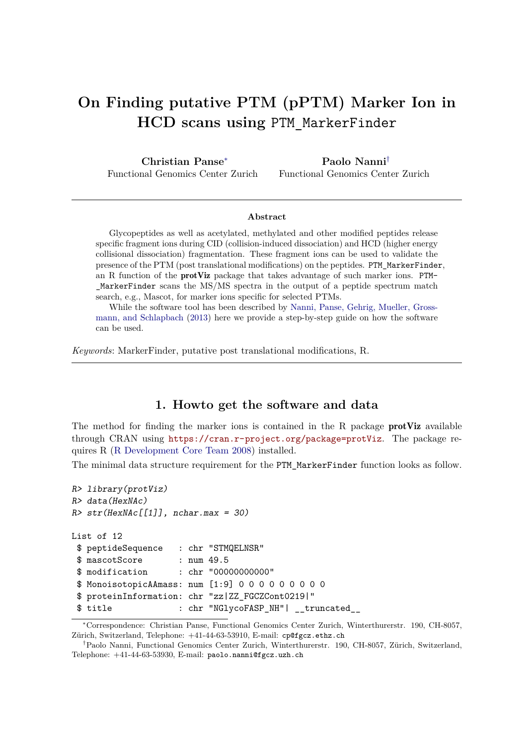# **On Finding putative PTM (pPTM) Marker Ion in HCD scans using** PTM\_MarkerFinder

**Christian Panse**<sup>∗</sup> Functional Genomics Center Zurich

**Paolo Nanni**† Functional Genomics Center Zurich

#### **Abstract**

Glycopeptides as well as acetylated, methylated and other modified peptides release specific fragment ions during CID (collision-induced dissociation) and HCD (higher energy collisional dissociation) fragmentation. These fragment ions can be used to validate the presence of the PTM (post translational modifications) on the peptides. PTM\_MarkerFinder, an R function of the protViz package that takes advantage of such marker ions. PTM-  $MarkerFinder$  scans the  $MS/MS$  spectra in the output of a peptide spectrum match search, e.g., Mascot, for marker ions specific for selected PTMs.

While the software tool has been described by [Nanni, Panse, Gehrig, Mueller, Gross](#page-7-0)[mann, and Schlapbach](#page-7-0) [\(2013\)](#page-7-0) here we provide a step-by-step guide on how the software can be used.

*Keywords*: MarkerFinder, putative post translational modifications, R.

#### **1. Howto get the software and data**

The method for finding the marker ions is contained in the R package **protViz** available through CRAN using <https://cran.r-project.org/package=protViz>. The package requires R [\(R Development Core Team 2008\)](#page-7-1) installed.

The minimal data structure requirement for the PTM\_MarkerFinder function looks as follow.

```
R> library(protViz)
R> data(HexNAc)
R > str(HexMac[[1]], nchar.max = 30)List of 12
 $ peptideSequence : chr "STMQELNSR"
 $ mascotScore : num 49.5
 $ modification : chr "00000000000"
 $ MonoisotopicAAmass: num [1:9] 0 0 0 0 0 0 0 0 0
 $ proteinInformation: chr "zz|ZZ_FGCZCont0219|"
 $ title : chr "NGlycoFASP_NH"| __truncated__
```
<sup>∗</sup>Correspondence: Christian Panse, Functional Genomics Center Zurich, Winterthurerstr. 190, CH-8057, Zürich, Switzerland, Telephone: +41-44-63-53910, E-mail: cp@fgcz.ethz.ch

<sup>†</sup>Paolo Nanni, Functional Genomics Center Zurich, Winterthurerstr. 190, CH-8057, Zürich, Switzerland, Telephone: +41-44-63-53930, E-mail: paolo.nanni@fgcz.uzh.ch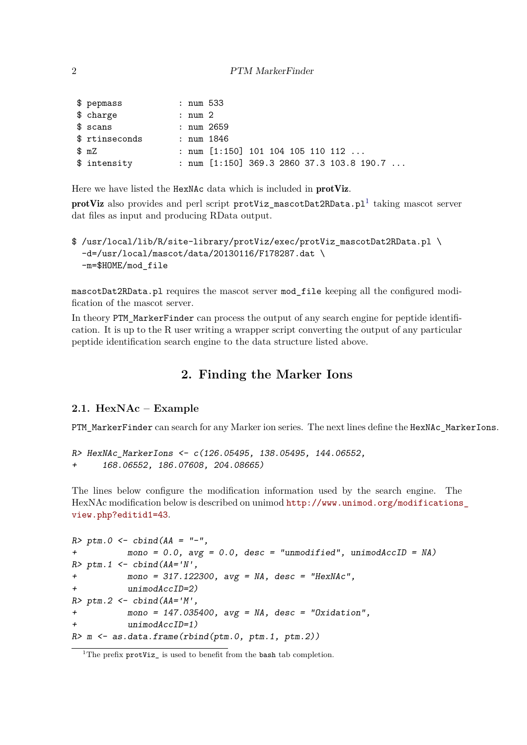| $$$ pepmass    | : num 533 |            |                                             |
|----------------|-----------|------------|---------------------------------------------|
| \$ charge      | : num 2   |            |                                             |
| $$s$ cans      |           | : num 2659 |                                             |
| \$ rtinseconds |           | : num 1846 |                                             |
| mZ             |           |            | : num $[1:150]$ 101 104 105 110 112         |
| \$ intensity   |           |            | : num $[1:150]$ 369.3 2860 37.3 103.8 190.7 |

Here we have listed the HexNAc data which is included in protViz.

 ${\rm prot} {\rm \bf Vir}$  also provides and perl script  ${\rm prot} {\rm \bf Vir\_mascotData}.$   ${\rm \bf plan}$  taking mascot server dat files as input and producing RData output.

```
$ /usr/local/lib/R/site-library/protViz/exec/protViz_mascotDat2RData.pl \
 -d=/usr/local/mascot/data/20130116/F178287.dat \
 -m=$HOME/mod_file
```
mascotDat2RData.pl requires the mascot server mod\_file keeping all the configured modification of the mascot server.

In theory PTM\_MarkerFinder can process the output of any search engine for peptide identification. It is up to the R user writing a wrapper script converting the output of any particular peptide identification search engine to the data structure listed above.

# **2. Finding the Marker Ions**

#### **2.1. HexNAc – Example**

PTM\_MarkerFinder can search for any Marker ion series. The next lines define the HexNAc\_MarkerIons.

```
R> HexNAc_MarkerIons <- c(126.05495, 138.05495, 144.06552,
      + 168.06552, 186.07608, 204.08665)
```
The lines below configure the modification information used by the search engine. The HexNAc modification below is described on unimod [http://www.unimod.org/modifications](http://www.unimod.org/modifications_view.php?editid1=43)\_ [view.php?editid1=43](http://www.unimod.org/modifications_view.php?editid1=43).

```
R> ptm.0 <- cbind(AA = "-",
+ mono = 0.0, avg = 0.0, desc = "unmodified", unimodAccID = NA)
R>ptm.1 \leftarrow \text{cbind}(AA='N',+ mono = 317.122300, avg = NA, desc = "HexNAc",
          unimodAccID=2)R> ptm.2 <- cbind(AA='M',
+ mono = 147.035400, avg = NA, desc = "Oxidation",
+ unimodAccID=1)
R > m \leftarrow as.data-frame(rbind(ptm.0, ptm.1, ptm.2))
```
<span id="page-1-0"></span><sup>&</sup>lt;sup>1</sup>The prefix  $\text{protViz}_$  is used to benefit from the bash tab completion.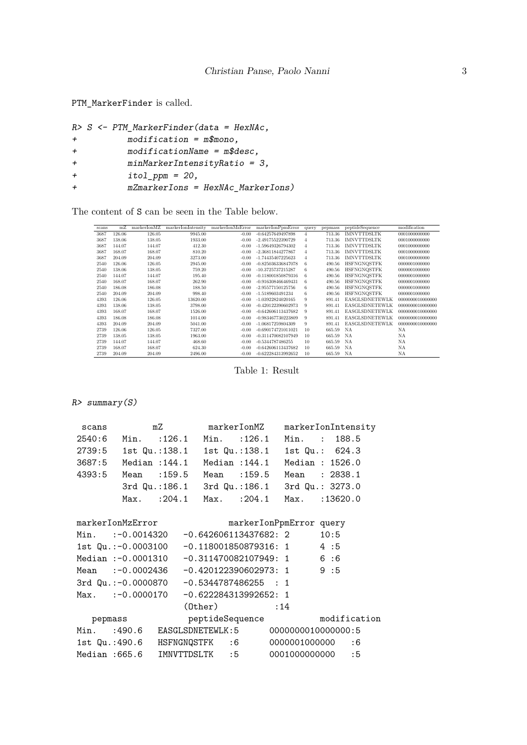PTM\_MarkerFinder is called.

```
R> S <- PTM_MarkerFinder(data = HexNAc,
+ modification = m$mono,
+ modificationName = m$desc,
+ minMarkerIntensityRatio = 3,
+ itol_ppm = 20,
+ mZmarkerIons = HexNAc_MarkerIons)
```
The content of S can be seen in the Table below.

| scans | mZ     | markerIonMZ | markerIonIntensity | markerIonMzError | markerIonPpmError    | query | pepmass | peptideSequence       | modification     |
|-------|--------|-------------|--------------------|------------------|----------------------|-------|---------|-----------------------|------------------|
| 3687  | 126.06 | 126.05      | 9945.00            | $-0.00$          | $-0.64257649497898$  |       | 713.36  | <b>IMNVTTDSLTK</b>    | 0001000000000    |
| 3687  | 138.06 | 138.05      | 1933.00            | $-0.00$          | -2.49175522390729    | 4     | 713.36  | <b>IMNVTTDSLTK</b>    | 0001000000000    |
| 3687  | 144.07 | 144.07      | 412.30             | $-0.00$          | -1.59649326794302    | 4     | 713.36  | <b>IMNVTTDSLTK</b>    | 0001000000000    |
| 3687  | 168.07 | 168.07      | 810.20             | $-0.00$          | -2.36811844277867    | 4     | 713.36  | <b>IMNVTTDSLTK</b>    | 0001000000000    |
| 3687  | 204.09 | 204.09      | 3273.00            | $-0.00$          | -1.74435407225623    | 4     | 713.36  | <b>IMNVTTDSLTK</b>    | 0001000000000    |
| 2540  | 126.06 | 126.05      | 2945.00            | $-0.00$          | -0.825036336847078   | 6     | 490.56  | <b>HSFNGNQSTFK</b>    | 0000001000000    |
| 2540  | 138.06 | 138.05      | 759.20             | $-0.00$          | -10.3725737215287    | 6     | 490.56  | <b>HSFNGNQSTFK</b>    | 0000001000000    |
| 2540  | 144.07 | 144.07      | 195.40             | $-0.00$          | $-0.118001850879316$ | 6     | 490.56  | <b>HSFNGNQSTFK</b>    | 0000001000000    |
| 2540  | 168.07 | 168.07      | 262.90             | $-0.00$          | $-0.916308466469431$ | 6     | 490.56  | <b>HSFNGNQSTFK</b>    | 0000001000000    |
| 2540  | 186.08 | 186.08      | 188.50             | $-0.00$          | -2.95577150125756    | 6     | 490.56  | <b>HSFNGNQSTFK</b>    | 0000001000000    |
| 2540  | 204.09 | 204.09      | 998.40             | $-0.00$          | -1.5189603491234     | 6     | 490.56  | <b>HSFNGNOSTFK</b>    | 0000001000000    |
| 4393  | 126.06 | 126.05      | 13620.00           | $-0.00$          | -1.03922824020165    | 9     | 891.41  | <b>EASGLSDNETEWLK</b> | 0000000010000000 |
| 4393  | 138.06 | 138.05      | 3798.00            | $-0.00$          | -0.420122390602973   | 9     | 891.41  | <b>EASGLSDNETEWLK</b> | 0000000010000000 |
| 4393  | 168.07 | 168.07      | 1526.00            | $-0.00$          | $-0.642606113437682$ | 9     | 891.41  | <b>EASGLSDNETEWLK</b> | 0000000010000000 |
| 4393  | 186.08 | 186.08      | 1014.00            | $-0.00$          | -0.983467730223809   | 9     | 891.41  | <b>EASGLSDNETEWLK</b> | 0000000010000000 |
| 4393  | 204.09 | 204.09      | 5041.00            | $-0.00$          | -1.06817259804309    | 9     | 891.41  | EASGLSDNETEWLK        | 0000000010000000 |
| 2739  | 126.06 | 126.05      | 7327.00            | $-0.00$          | $-0.690174721011021$ | 10    | 665.59  | NA                    | <b>NA</b>        |
| 2739  | 138.05 | 138.05      | 1963.00            | $-0.00$          | -0.311470082107949   | 10    | 665.59  | NA                    | NA               |
| 2739  | 144.07 | 144.07      | 468.60             | $-0.00$          | $-0.5344787486255$   | 10    | 665.59  | NA                    | <b>NA</b>        |
| 2739  | 168.07 | 168.07      | 624.30             | $-0.00$          | -0.642606113437682   | 10    | 665.59  | NA                    | NA               |
| 2739  | 204.09 | 204.09      | 2496.00            | $-0.00$          | -0.622284313992652   | 10    | 665.59  | NA                    | NA               |

Table 1: Result

R> summary(S)

| scans  |                     | mZ                                                   | markerIonMZ                  |     | markerIonIntensity |      |  |
|--------|---------------------|------------------------------------------------------|------------------------------|-----|--------------------|------|--|
|        |                     | 2540:6 Min. :126.1 Min. :126.1                       |                              |     | Min. : 188.5       |      |  |
|        |                     | 2739:5 1st Qu.:138.1 1st Qu.:138.1 1st Qu.: 624.3    |                              |     |                    |      |  |
|        |                     | 3687:5 Median : 144.1 Median : 144.1 Median : 1526.0 |                              |     |                    |      |  |
| 4393:5 |                     | Mean :159.5                                          | Mean :159.5                  |     | Mean : 2838.1      |      |  |
|        |                     | 3rd Qu.:186.1 3rd Qu.:186.1 3rd Qu.: 3273.0          |                              |     |                    |      |  |
|        |                     | Max. : 204.1 Max. : 204.1 Max. : 13620.0             |                              |     |                    |      |  |
|        | markerIonMzError    |                                                      | markerIonPpmError query      |     |                    |      |  |
|        |                     | Min. :-0.0014320 -0.642606113437682: 2               |                              |     |                    | 10:5 |  |
|        |                     |                                                      |                              |     |                    |      |  |
|        | 1st Qu.:-0.0003100  |                                                      | $-0.118001850879316: 1$ 4:5  |     |                    |      |  |
|        |                     | Median :-0.0001310 -0.311470082107949: 1 6:6         |                              |     |                    |      |  |
|        |                     | Mean :-0.0002436 -0.420122390602973: 1 9:5           |                              |     |                    |      |  |
|        |                     | 3rd Qu.:-0.0000870 -0.5344787486255 : 1              |                              |     |                    |      |  |
|        | $Max. : -0.0000170$ |                                                      | $-0.622284313992652: 1$      |     |                    |      |  |
|        |                     |                                                      | $(0$ ther $)$                | :14 |                    |      |  |
|        | pepmass             |                                                      | peptideSequence modification |     |                    |      |  |
|        |                     | Min. :490.6 EASGLSDNETEWLK:5 00000000100000000:5     |                              |     |                    |      |  |
|        |                     | 1st Qu.:490.6 HSFNGNQSTFK :6  0000001000000 :6       |                              |     |                    |      |  |
|        | Median :665.6       | IMNVTTDSLTK :5 0001000000000 :5                      |                              |     |                    |      |  |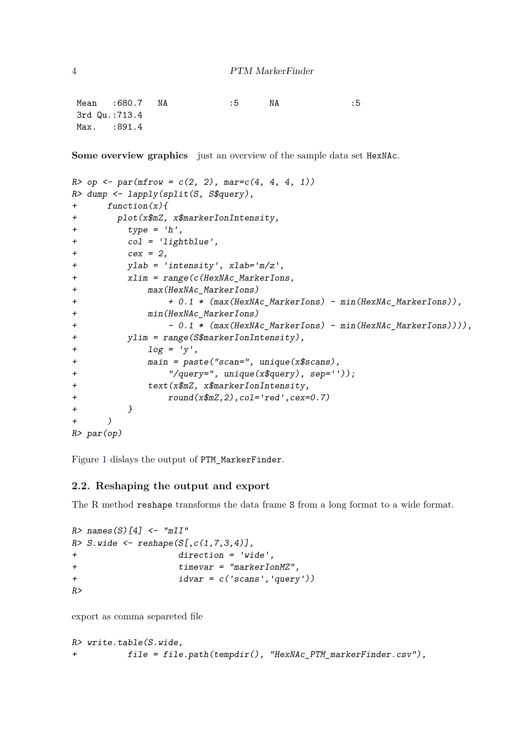Mean :680.7 NA :5 NA :5 3rd Qu.:713.4 Max. : 891.4

**Some overview graphics** just an overview of the sample data set HexNAc.

```
R > op \leq par(mfrow = c(2, 2), mar = c(4, 4, 4, 1))R> dump <- lapply(split(S, S$query),
+ function(x){
+ plot(x$mZ, x$markerIonIntensity,
+ type = 'h',+ col = 'lightblue',
+ cex = 2,
+ ylab = 'intensity', xlab='m/z',
+ xlim = range(c(HexNAc MarkerIons,
+ max(HexNAc_MarkerIons)
+ + 0.1 * (max(HexNAc_MarkerIons) - min(HexNAc_MarkerIons)),
+ min(HexNAc_MarkerIons)
+ - - 0.1 * (max(HexNAc MarkerIons) - min(HexNAc MarkerIons)))),
+ ylim = range(S$markerIonIntensity),
+ log = 'y',+ main = paste("scan=", unique(x$scans),
+ "/query=", unique(x$query), sep=''));
+ text(x$mZ, x$markerIonIntensity,
+ round(x$mZ,2),col='red',cex=0.7)
+ }
+ )
R> par(op)
```
Figure [1](#page-4-0) dislays the output of PTM\_MarkerFinder.

#### **2.2. Reshaping the output and export**

The R method reshape transforms the data frame S from a long format to a wide format.

```
R > names (S) [4] \leq "mII"
R > S. wide \leq reshape(S[, c(1, 7, 3, 4)],
+ direction = 'wide',
+ timevar = "markerIonMZ",
+ idvar = c('scans','query'))
R>
```
export as comma separeted file

```
R> write.table(S.wide,
          file = file.path(tempdir(), "HexMAC PTM markerFinder.csv"),
```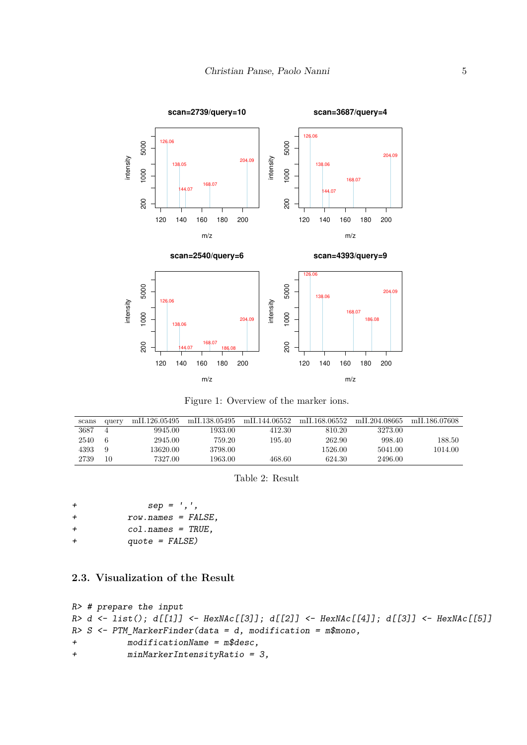

<span id="page-4-0"></span>Figure 1: Overview of the marker ions.

| scans | query | mII.126.05495 | mII.138.05495 | mII.144.06552 | mII.168.06552 | mIL204.08665 | mIL186.07608 |
|-------|-------|---------------|---------------|---------------|---------------|--------------|--------------|
| 3687  |       | 9945.00       | 1933.00       | 412.30        | 810.20        | 3273.00      |              |
| 2540  | 6     | 2945.00       | 759.20        | 195.40        | 262.90        | 998.40       | 188.50       |
| 4393  | 9     | 13620.00      | 3798.00       |               | 1526.00       | 5041.00      | 1014.00      |
| 2739  | 10    | 7327.00       | 1963.00       | 468.60        | 624.30        | 2496.00      |              |

Table 2: Result

| $\div$ | $sep = ', ',$       |
|--------|---------------------|
| $\div$ | $row.name = FALSE,$ |
| $\div$ | $col.name = TRUE$ . |
| $\div$ | $quote = FALSE)$    |

## **2.3. Visualization of the Result**

```
R> # prepare the input
R> d <- list(); d[[1]] <- HexNAc[[3]]; d[[2]] <- HexNAc[[4]]; d[[3]] <- HexNAc[[5]]
R> S <- PTM_MarkerFinder(data = d, modification = m$mono,
+ modificationName = m$desc,
+ minMarkerIntensityRatio = 3,
```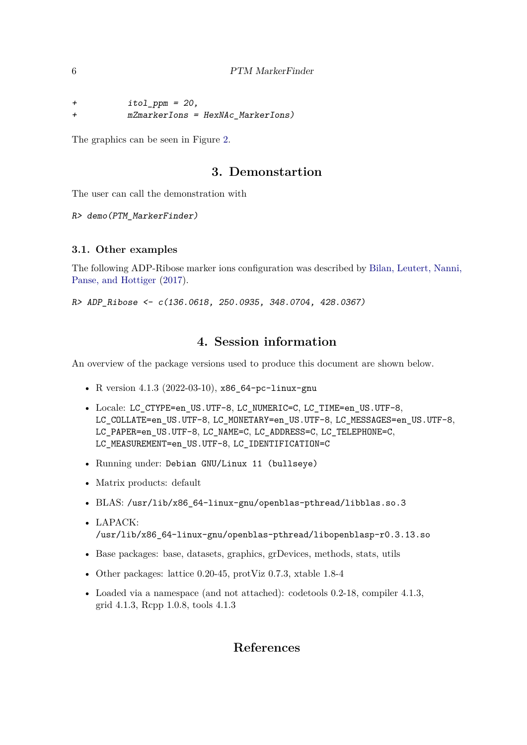+ itol\_ppm = 20, + mZmarkerIons = HexNAc\_MarkerIons)

The graphics can be seen in Figure [2.](#page-6-0)

## **3. Demonstartion**

The user can call the demonstration with

R> demo(PTM\_MarkerFinder)

#### **3.1. Other examples**

The following ADP-Ribose marker ions configuration was described by [Bilan, Leutert, Nanni,](#page-7-2) [Panse, and Hottiger](#page-7-2) [\(2017\)](#page-7-2).

R> ADP\_Ribose <- c(136.0618, 250.0935, 348.0704, 428.0367)

# **4. Session information**

An overview of the package versions used to produce this document are shown below.

- R version 4.1.3 (2022-03-10), x86\_64-pc-linux-gnu
- Locale: LC\_CTYPE=en\_US.UTF-8, LC\_NUMERIC=C, LC\_TIME=en\_US.UTF-8, LC\_COLLATE=en\_US.UTF-8, LC\_MONETARY=en\_US.UTF-8, LC\_MESSAGES=en\_US.UTF-8, LC\_PAPER=en\_US.UTF-8, LC\_NAME=C, LC\_ADDRESS=C, LC\_TELEPHONE=C, LC\_MEASUREMENT=en\_US.UTF-8, LC\_IDENTIFICATION=C
- Running under: Debian GNU/Linux 11 (bullseye)
- Matrix products: default
- BLAS: /usr/lib/x86\_64-linux-gnu/openblas-pthread/libblas.so.3
- LAPACK: /usr/lib/x86\_64-linux-gnu/openblas-pthread/libopenblasp-r0.3.13.so
- Base packages: base, datasets, graphics, grDevices, methods, stats, utils
- Other packages: lattice 0.20-45, protViz 0.7.3, xtable 1.8-4
- Loaded via a namespace (and not attached): codetools 0.2-18, compiler 4.1.3, grid 4.1.3, Rcpp 1.0.8, tools 4.1.3

# **References**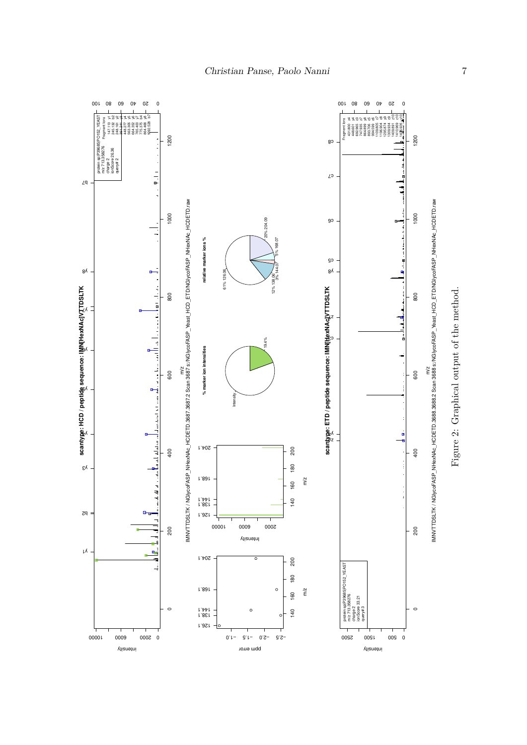<span id="page-6-0"></span><sup>0</sup> <sup>20</sup> <sup>40</sup> <sup>60</sup> <sup>80</sup> <sup>100</sup> <sup>0</sup> <sup>20</sup> <sup>40</sup> <sup>60</sup> <sup>80</sup> <sup>100</sup> Fragment Ions 147.113 yr 245.141 yr 245.141 yr 245.141 yr 245.142 yr 245.277 yr 245.305 yr 245.400 yr 245.400 yr 245.45 b4 864.468 yr 245.143 b4 863.277 yr 245.143 b4 863.277 yr 245.143 b4 863.275 b4 864.468 yr 245.143 b4  $\begin{array}{|c|c|c|c|c|}\n\hline\n\text{14} & \text{14} & \text{14} & \text{14} & \text{14} & \text{14} & \text{14} & \text{14} & \text{14} & \text{14} & \text{14} & \text{14} & \text{14} & \text{14} & \text{14} & \text{14} & \text{14} & \text{14} & \text{14} & \text{14} & \text{14} & \text{14} & \text{14} & \text{14} & \text{14} & \text{14} & \text{14} & \text{14} & \text$ 1200 1200 0 200 400 600 800 1000 1200 0 200 400 600 800 1000 1200 c8  $\mathcal{L}^{\mathfrak{O}}$  $\angle q$ E m/<br>MNVTTDSLTK / NGIyooFASP\_NHexNAc\_HCDETD.3687.3687.2 Scan 3687 s:/NGIycoFASP\_Yeast\_HCD\_ETD/NGIyooFASP\_NHexNAc\_HCDETD.raw m/x/<br>MNVTTDSLTK / NGIyooFASP\_NHexNAc\_HCDETD.36888.36888 scan 36888 s/NGIyooFASP\_^6ast\_HCD\_ETD/NGIyooFASP\_MHexNAc\_HCDETD.raw IMNVTTDSLTK / NGlycoFASP\_NHexNAc\_HCDETD.3687.3687.2 Scan 3687 s:/NGlycoFASP\_Yeast\_HCD\_ETD/NGlycoFASP\_NHexNAc\_HCDETD.raw IMNVTTDSLTK / NGlycoFASP\_NHexNAc\_HCDETD.3688.3688.2 Scan 3688 s:/NGlycoFASP\_Yeast\_HCD\_ETD/NGlycoFASP\_NHexNAc\_HCDETD.raw 1000 1000 20% 204.09 c6 relative marker ions % **relative marker ions %** 3% 144.07 5% 168.07 c5 y8 y8  $\mathbf{B}$ 61% 126.06 12% 138 **scantype: HCD / peptide sequence: IMN[HexNAc]VTTDSLTK**  $n + 1 + 4$ **scantype: ETD / peptide sequence: IMN[HexNAc]VTTDSLTK**  $500$  $800$ y7 z7 c3 19.4% and the same lines. **% marker ion intensities** b۸ % marker ion intensities 600 600 ن<br>با ŗ۸ Intensity Fault des al. 64 y4 iz∧<br>Pz ودائط المد 204.1 200 400 400 140 160 180 200 180 y3 168.1 m/z 160  $140$ 138.1 144.1 b2 126.1 <sup>2000</sup> <sup>6000</sup> <sup>10000</sup> 200 200 Intensity y1  $\mathbf{e}_\mathbf{r}$ 204.1 200 140 160 180 200 protein sp|P39685|PO152\_YEAST m/z 713.358276<br>m/z 713.358276<br>charge 2<br>ionScore 33.21 180 168.1  $\circ$ m/z 160  $\circ$  $\circ$  $\circ$  $140$ 138.1 144.1 126.1 0 2000 10000 10000 10000 10000 10000 10000 10000 10000 10000 10000 10000 10000 10000 10000 10000 10000 10000 10000 10000 10000 10000 10000 10000 10000 10000 10000 10000 10000 10000 10000 10000 10000 10000 10000 10000 10000 0 2200 1200 2200 −2.5 −2.0 −1.5 −1.0 intensity ppm error intensity